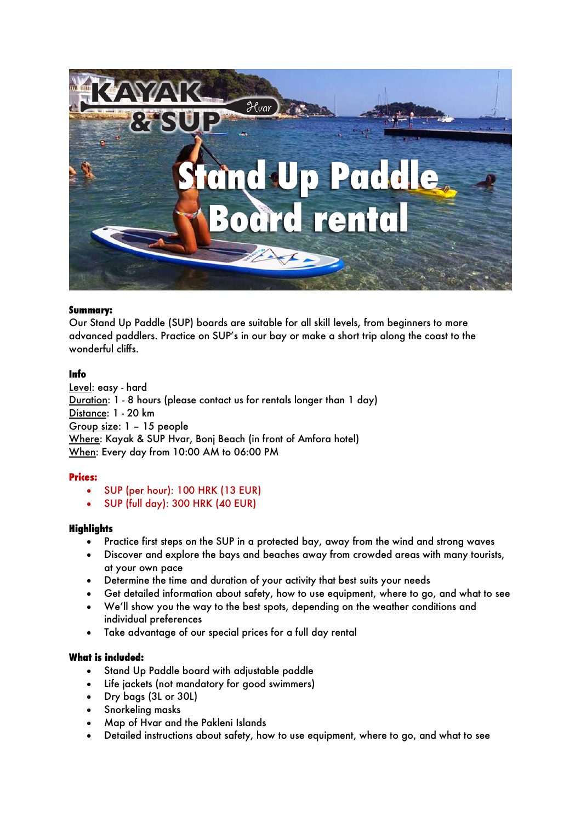

## **Summary:**

Our Stand Up Paddle (SUP) boards are suitable for all skill levels, from beginners to more advanced paddlers. Practice on SUP's in our bay or make a short trip along the coast to the wonderful cliffs.

## **Info**

Level: easy - hard Duration: 1 - 8 hours (please contact us for rentals longer than 1 day) Distance: 1 - 20 km Group size: 1 – 15 people Where: Kayak & SUP Hvar, Bonj Beach (in front of Amfora hotel) When: Every day from 10:00 AM to 06:00 PM

# **Prices:**

- SUP (per hour): 100 HRK (13 EUR)
- SUP (full day): 300 HRK (40 EUR)

### **Highlights**

- Practice first steps on the SUP in a protected bay, away from the wind and strong waves
- Discover and explore the bays and beaches away from crowded areas with many tourists, at your own pace
- Determine the time and duration of your activity that best suits your needs
- Get detailed information about safety, how to use equipment, where to go, and what to see
- We'll show you the way to the best spots, depending on the weather conditions and individual preferences
- Take advantage of our special prices for a full day rental

### **What is included:**

- Stand Up Paddle board with adjustable paddle
- Life jackets (not mandatory for good swimmers)
- Dry bags (3L or 30L)
- Snorkeling masks
- Map of Hvar and the Pakleni Islands
- Detailed instructions about safety, how to use equipment, where to go, and what to see